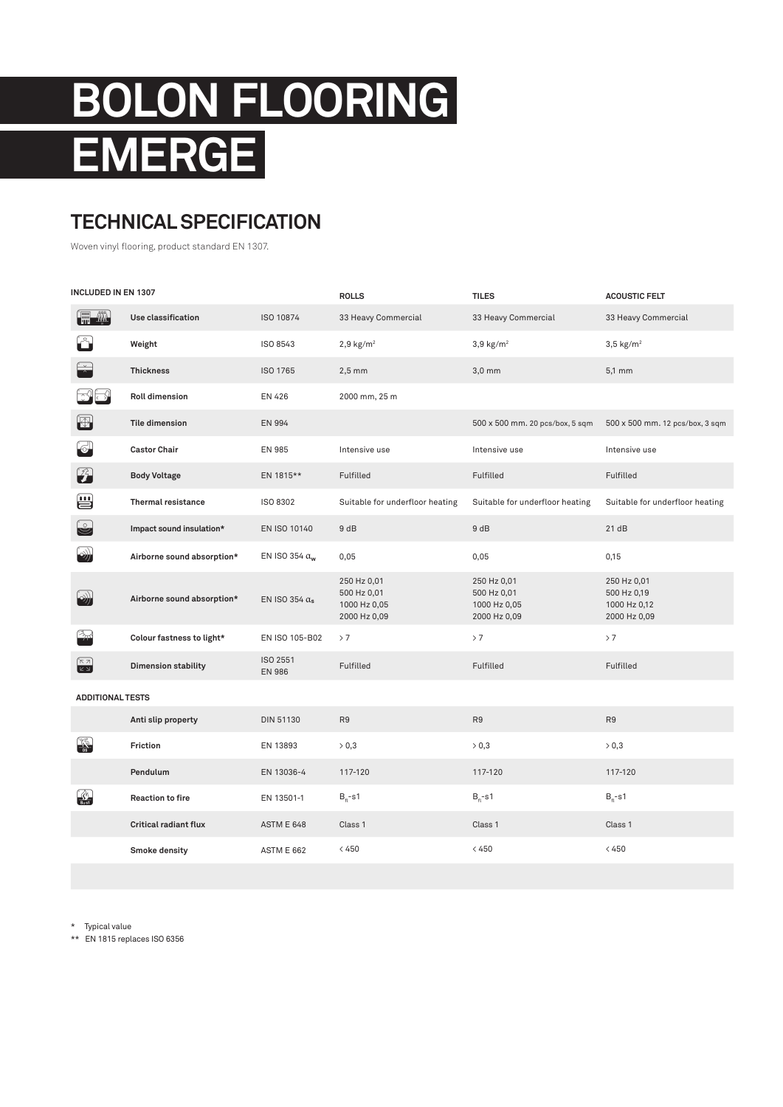## **BOLON FLOORING EMERGE**

## **TECHNICAL SPECIFICATION**

Woven vinyl flooring, product standard EN 1307.

| INCLUDED IN EN 1307                                                                  |                              |                           | <b>ROLLS</b>                                               | <b>TILES</b>                                               | <b>ACOUSTIC FELT</b>                                       |  |  |  |
|--------------------------------------------------------------------------------------|------------------------------|---------------------------|------------------------------------------------------------|------------------------------------------------------------|------------------------------------------------------------|--|--|--|
| 儒拳                                                                                   | Use classification           | ISO 10874                 | 33 Heavy Commercial                                        | 33 Heavy Commercial                                        | 33 Heavy Commercial                                        |  |  |  |
|                                                                                      | Weight                       | ISO 8543                  | $2,9$ kg/m <sup>2</sup>                                    | $3,9$ kg/m <sup>2</sup>                                    | $3,5$ kg/m <sup>2</sup>                                    |  |  |  |
|                                                                                      | <b>Thickness</b>             | ISO 1765                  | $2,5$ mm                                                   | $3,0$ mm                                                   | 5,1 mm                                                     |  |  |  |
|                                                                                      | <b>Roll dimension</b>        | EN 426                    | 2000 mm, 25 m                                              |                                                            |                                                            |  |  |  |
| $\bigoplus$                                                                          | <b>Tile dimension</b>        | EN 994                    |                                                            | 500 x 500 mm. 20 pcs/box, 5 sqm                            | 500 x 500 mm. 12 pcs/box, 3 sqm                            |  |  |  |
| $\circ$                                                                              | <b>Castor Chair</b>          | <b>EN 985</b>             | Intensive use                                              | Intensive use                                              | Intensive use                                              |  |  |  |
| 2                                                                                    | <b>Body Voltage</b>          | EN 1815**                 | Fulfilled                                                  | Fulfilled                                                  | Fulfilled                                                  |  |  |  |
| ₩                                                                                    | <b>Thermal resistance</b>    | ISO 8302                  | Suitable for underfloor heating                            | Suitable for underfloor heating                            | Suitable for underfloor heating                            |  |  |  |
| 9                                                                                    | Impact sound insulation*     | EN ISO 10140              | 9 dB                                                       | 9 dB                                                       | 21dB                                                       |  |  |  |
| ((د                                                                                  | Airborne sound absorption*   | EN ISO 354 $\alpha_w$     | 0,05                                                       | 0,05                                                       | 0,15                                                       |  |  |  |
| $\rightarrow$                                                                        | Airborne sound absorption*   | EN ISO 354 $\alpha_s$     | 250 Hz 0,01<br>500 Hz 0,01<br>1000 Hz 0,05<br>2000 Hz 0,09 | 250 Hz 0,01<br>500 Hz 0,01<br>1000 Hz 0,05<br>2000 Hz 0,09 | 250 Hz 0,01<br>500 Hz 0,19<br>1000 Hz 0,12<br>2000 Hz 0,09 |  |  |  |
|                                                                                      | Colour fastness to light*    | EN ISO 105-B02            | >7                                                         | > 7                                                        | > 7                                                        |  |  |  |
| $\begin{bmatrix} \nabla \ \overline{A} \\ \overline{B} & \overline{B} \end{bmatrix}$ | <b>Dimension stability</b>   | ISO 2551<br><b>EN 986</b> | Fulfilled                                                  | Fulfilled                                                  | Fulfilled                                                  |  |  |  |
| <b>ADDITIONAL TESTS</b>                                                              |                              |                           |                                                            |                                                            |                                                            |  |  |  |
|                                                                                      | Anti slip property           | <b>DIN 51130</b>          | R <sub>9</sub>                                             | R <sub>9</sub>                                             | R <sub>9</sub>                                             |  |  |  |
| <b>A</b>                                                                             | Friction                     | EN 13893                  | > 0,3                                                      | > 0,3                                                      | > 0,3                                                      |  |  |  |
|                                                                                      | Pendulum                     | EN 13036-4                | 117-120                                                    | 117-120                                                    | 117-120                                                    |  |  |  |
| $\frac{1}{\sqrt{2}}$                                                                 | <b>Reaction to fire</b>      | EN 13501-1                | B <sub>fl</sub> -s1                                        | $B_{\rm fl}$ -s1                                           | $B_{\rm fl}$ -s1                                           |  |  |  |
|                                                                                      | <b>Critical radiant flux</b> | <b>ASTM E 648</b>         | Class 1                                                    | Class 1                                                    | Class 1                                                    |  |  |  |
|                                                                                      | Smoke density                | ASTM E 662                | < 450                                                      | < 450                                                      | < 450                                                      |  |  |  |

\* Typical value

\*\* EN 1815 replaces ISO 6356